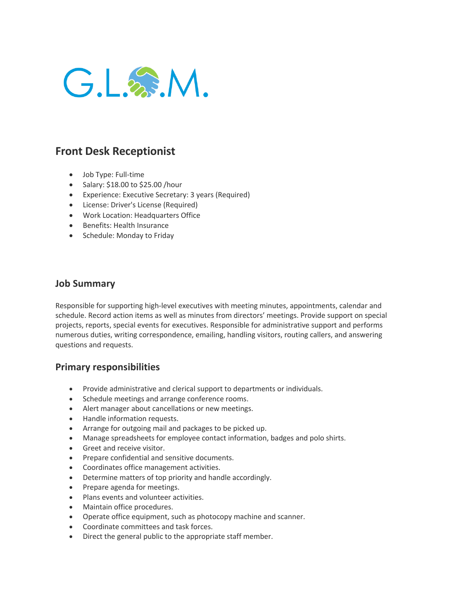

## **Front Desk Receptionist**

- Job Type: Full-time
- Salary: \$18.00 to \$25.00 /hour
- Experience: Executive Secretary: 3 years (Required)
- License: Driver's License (Required)
- Work Location: Headquarters Office
- Benefits: Health Insurance
- Schedule: Monday to Friday

## **Job Summary**

Responsible for supporting high-level executives with meeting minutes, appointments, calendar and schedule. Record action items as well as minutes from directors' meetings. Provide support on special projects, reports, special events for executives. Responsible for administrative support and performs numerous duties, writing correspondence, emailing, handling visitors, routing callers, and answering questions and requests.

## **Primary responsibilities**

- Provide administrative and clerical support to departments or individuals.
- Schedule meetings and arrange conference rooms.
- Alert manager about cancellations or new meetings.
- Handle information requests.
- Arrange for outgoing mail and packages to be picked up.
- Manage spreadsheets for employee contact information, badges and polo shirts.
- Greet and receive visitor.
- Prepare confidential and sensitive documents.
- Coordinates office management activities.
- Determine matters of top priority and handle accordingly.
- Prepare agenda for meetings.
- Plans events and volunteer activities.
- Maintain office procedures.
- Operate office equipment, such as photocopy machine and scanner.
- Coordinate committees and task forces.
- Direct the general public to the appropriate staff member.